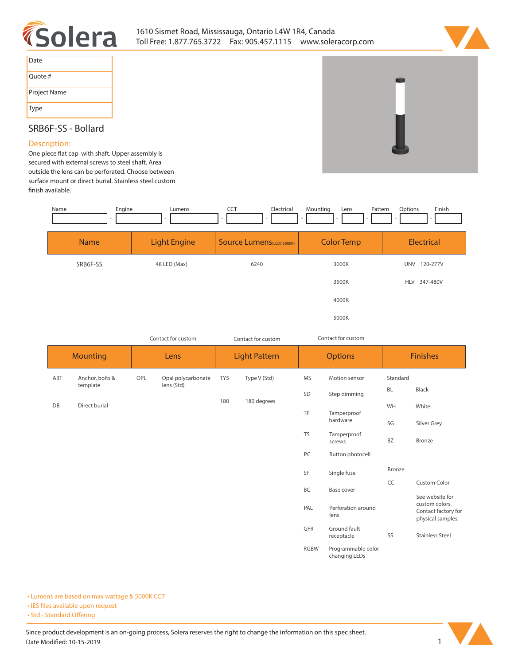



| Date         |
|--------------|
| Quote #      |
| Project Name |
| <b>Type</b>  |

## **SRB6F-SS - Bollard**

## **Description:**

One piece flat cap with shaft. Upper assembly is **secured with external screws to steel shaft. Area outside the lens can be perforated. Choose between surface mount or direct burial. Stainless steel custom nish available.** 

| Engine<br>Name | Lumens              | CCT<br>Electrical                 | Mounting<br>Pattern<br>Lens | Finish<br>Options      |
|----------------|---------------------|-----------------------------------|-----------------------------|------------------------|
| <b>Name</b>    | <b>Light Engine</b> | <b>Source Lumens</b> (LED)(5000K) | <b>Color Temp</b>           | Electrical             |
| SRB6F-SS       | 48 LED (Max)        | 6240                              | 3000K                       | 120-277V<br><b>UNV</b> |
|                |                     |                                   | 3500K                       | 347-480V<br><b>HLV</b> |
|                |                     |                                   | 4000K                       |                        |
|                |                     |                                   | 5000K                       |                        |

| Contact for custom |                 |      | Contact for custom<br>Contact for custom |                      |              |                    |                                     |                 |                                          |
|--------------------|-----------------|------|------------------------------------------|----------------------|--------------|--------------------|-------------------------------------|-----------------|------------------------------------------|
| <b>Mounting</b>    |                 | Lens |                                          | <b>Light Pattern</b> |              | <b>Options</b>     |                                     | <b>Finishes</b> |                                          |
| ABT                | Anchor, bolts & | OPL  | Opal polycarbonate                       | TY5                  | Type V (Std) | <b>MS</b>          | Motion sensor                       | Standard        |                                          |
|                    | template        |      | lens (Std)                               |                      |              | SD<br>Step dimming |                                     | <b>BL</b>       | Black                                    |
| DB                 | Direct burial   |      |                                          | 180                  | 180 degrees  | TP                 | Tamperproof                         | WH              | White                                    |
|                    |                 |      |                                          |                      |              |                    | hardware                            | SG              | Silver Grey                              |
|                    |                 |      |                                          |                      |              | <b>TS</b>          | Tamperproof<br>screws               | BZ              | Bronze                                   |
|                    |                 |      |                                          |                      |              | PC                 | Button photocell                    |                 |                                          |
|                    |                 |      |                                          |                      |              | SF                 | Single fuse                         | Bronze          |                                          |
|                    |                 |      |                                          |                      |              | BC                 | Base cover                          | CC              | Custom Color<br>See website for          |
|                    |                 |      |                                          |                      |              | PAL                | Perforation around<br>lens          | custom colors.  | Contact factory for<br>physical samples. |
|                    |                 |      |                                          |                      |              | GFR                | Ground fault<br>receptacle          | SS              | <b>Stainless Steel</b>                   |
|                    |                 |      |                                          |                      |              | <b>RGBW</b>        | Programmable color<br>changing LEDs |                 |                                          |

**• Lumens are based on max wattage & 5000K CCT**

**• IES files available upon request** 

• Std - Standard Offering

Since product development is an on-going process, Solera reserves the right to change the information on this spec sheet. **Date Modified: 10-15-2019** 1